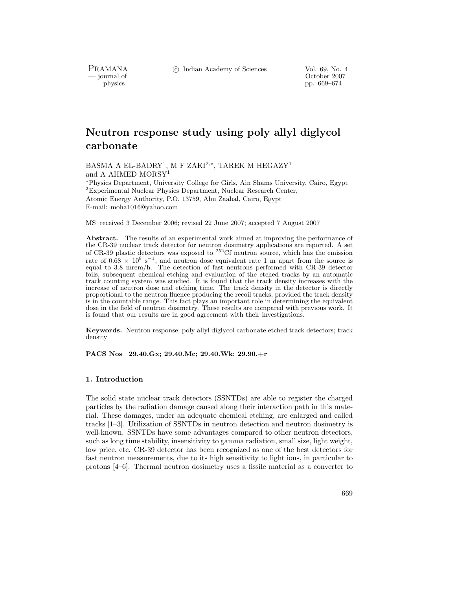c Indian Academy of Sciences Vol. 69, No. 4

PRAMANA<br>— journal of

urnal of Corollace Corollace Corollace Corollace Corollace Corollace Corollace Corollace Corollace Corollace Corollace Corollace Corollace Corollace Corollace Corollace Corollace Corollace Corollace Corollace Corollace Cor physics pp. 669–674

# **Neutron response study using poly allyl diglycol carbonate**

BASMA A EL-BADRY1, M F ZAKI2*,*∗, TAREK M HEGAZY<sup>1</sup> and A AHMED MORSY<sup>1</sup> <sup>1</sup>Physics Department, University College for Girls, Ain Shams University, Cairo, Egypt

<sup>2</sup>Experimental Nuclear Physics Department, Nuclear Research Center, Atomic Energy Authority, P.O. 13759, Abu Zaabal, Cairo, Egypt E-mail: moha1016@yahoo.com

MS received 3 December 2006; revised 22 June 2007; accepted 7 August 2007

**Abstract.** The results of an experimental work aimed at improving the performance of the CR-39 nuclear track detector for neutron dosimetry applications are reported. A set of CR-39 plastic detectors was exposed to  $252$ Cf neutron source, which has the emission rate of  $0.68 \times 10^8 \text{ s}^{-1}$ , and neutron dose equivalent rate 1 m apart from the source is equal to 3.8 mrem/h. The detection of fast neutrons performed with CR-39 detector foils, subsequent chemical etching and evaluation of the etched tracks by an automatic track counting system was studied. It is found that the track density increases with the increase of neutron dose and etching time. The track density in the detector is directly proportional to the neutron fluence producing the recoil tracks, provided the track density is in the countable range. This fact plays an important role in determining the equivalent dose in the field of neutron dosimetry. These results are compared with previous work. It is found that our results are in good agreement with their investigations.

**Keywords.** Neutron response; poly allyl diglycol carbonate etched track detectors; track density

**PACS Nos 29.40.Gx; 29.40.Mc; 29.40.Wk; 29.90.+r**

## **1. Introduction**

The solid state nuclear track detectors (SSNTDs) are able to register the charged particles by the radiation damage caused along their interaction path in this material. These damages, under an adequate chemical etching, are enlarged and called tracks [1–3]. Utilization of SSNTDs in neutron detection and neutron dosimetry is well-known. SSNTDs have some advantages compared to other neutron detectors, such as long time stability, insensitivity to gamma radiation, small size, light weight, low price, etc. CR-39 detector has been recognized as one of the best detectors for fast neutron measurements, due to its high sensitivity to light ions, in particular to protons [4–6]. Thermal neutron dosimetry uses a fissile material as a converter to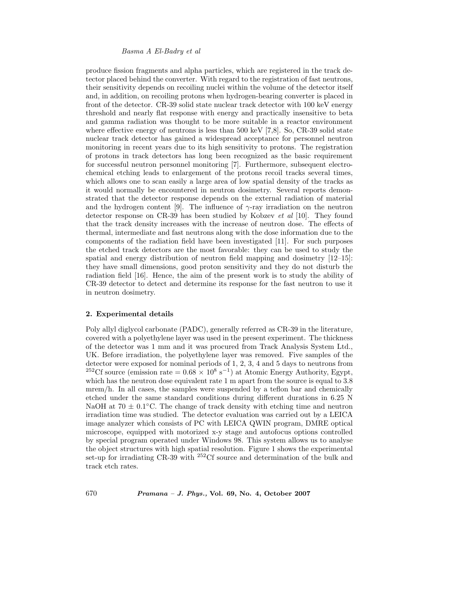#### *Basma A El-Badry et al*

produce fission fragments and alpha particles, which are registered in the track detector placed behind the converter. With regard to the registration of fast neutrons, their sensitivity depends on recoiling nuclei within the volume of the detector itself and, in addition, on recoiling protons when hydrogen-bearing converter is placed in front of the detector. CR-39 solid state nuclear track detector with 100 keV energy threshold and nearly flat response with energy and practically insensitive to beta and gamma radiation was thought to be more suitable in a reactor environment where effective energy of neutrons is less than 500 keV [7,8]. So, CR-39 solid state nuclear track detector has gained a widespread acceptance for personnel neutron monitoring in recent years due to its high sensitivity to protons. The registration of protons in track detectors has long been recognized as the basic requirement for successful neutron personnel monitoring [7]. Furthermore, subsequent electrochemical etching leads to enlargement of the protons recoil tracks several times, which allows one to scan easily a large area of low spatial density of the tracks as it would normally be encountered in neutron dosimetry. Several reports demonstrated that the detector response depends on the external radiation of material and the hydrogen content [9]. The influence of  $\gamma$ -ray irradiation on the neutron detector response on CR-39 has been studied by Kobzev *et al* [10]. They found that the track density increases with the increase of neutron dose. The effects of thermal, intermediate and fast neutrons along with the dose information due to the components of the radiation field have been investigated [11]. For such purposes the etched track detectors are the most favorable: they can be used to study the spatial and energy distribution of neutron field mapping and dosimetry [12–15]: they have small dimensions, good proton sensitivity and they do not disturb the radiation field [16]. Hence, the aim of the present work is to study the ability of CR-39 detector to detect and determine its response for the fast neutron to use it in neutron dosimetry.

#### **2. Experimental details**

Poly allyl diglycol carbonate (PADC), generally referred as CR-39 in the literature, covered with a polyethylene layer was used in the present experiment. The thickness of the detector was 1 mm and it was procured from Track Analysis System Ltd., UK. Before irradiation, the polyethylene layer was removed. Five samples of the detector were exposed for nominal periods of 1, 2, 3, 4 and 5 days to neutrons from <sup>252</sup>Cf source (emission rate =  $0.68 \times 10^8$  s<sup>-1</sup>) at Atomic Energy Authority, Egypt, which has the neutron dose equivalent rate 1 m apart from the source is equal to 3.8 mrem/h. In all cases, the samples were suspended by a teflon bar and chemically etched under the same standard conditions during different durations in 6.25 N NaOH at  $70 \pm 0.1$ <sup>°</sup>C. The change of track density with etching time and neutron irradiation time was studied. The detector evaluation was carried out by a LEICA image analyzer which consists of PC with LEICA QWIN program, DMRE optical microscope, equipped with motorized x-y stage and autofocus options controlled by special program operated under Windows 98. This system allows us to analyse the object structures with high spatial resolution. Figure 1 shows the experimental set-up for irradiating CR-39 with <sup>252</sup>Cf source and determination of the bulk and track etch rates.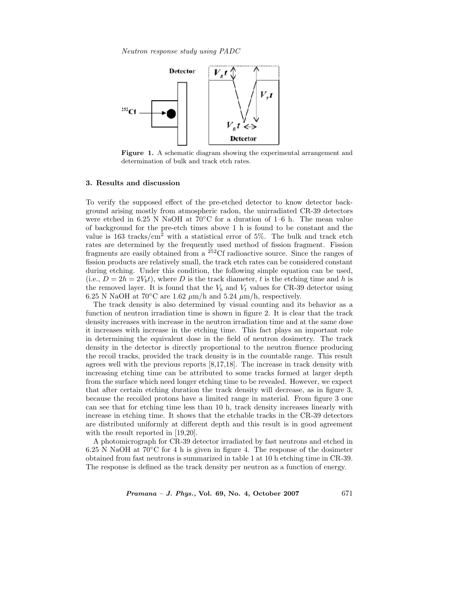*Neutron response study using PADC*



**Figure 1.** A schematic diagram showing the experimental arrangement and determination of bulk and track etch rates.

#### **3. Results and discussion**

To verify the supposed effect of the pre-etched detector to know detector background arising mostly from atmospheric radon, the unirradiated CR-39 detectors were etched in 6.25 N NaOH at  $70^{\circ}$ C for a duration of 1–6 h. The mean value of background for the pre-etch times above 1 h is found to be constant and the value is  $163$  tracks/cm<sup>2</sup> with a statistical error of 5%. The bulk and track etch rates are determined by the frequently used method of fission fragment. Fission fragments are easily obtained from a  $252 \text{C}$ f radioactive source. Since the ranges of fission products are relatively small, the track etch rates can be considered constant during etching. Under this condition, the following simple equation can be used, (i.e.,  $D = 2h = 2V_b t$ ), where D is the track diameter, t is the etching time and h is the removed layer. It is found that the  $V_b$  and  $V_t$  values for CR-39 detector using 6.25 N NaOH at  $70^{\circ}$ C are 1.62  $\mu$ m/h and 5.24  $\mu$ m/h, respectively.

The track density is also determined by visual counting and its behavior as a function of neutron irradiation time is shown in figure 2. It is clear that the track density increases with increase in the neutron irradiation time and at the same dose it increases with increase in the etching time. This fact plays an important role in determining the equivalent dose in the field of neutron dosimetry. The track density in the detector is directly proportional to the neutron fluence producing the recoil tracks, provided the track density is in the countable range. This result agrees well with the previous reports [8,17,18]. The increase in track density with increasing etching time can be attributed to some tracks formed at larger depth from the surface which need longer etching time to be revealed. However, we expect that after certain etching duration the track density will decrease, as in figure 3, because the recoiled protons have a limited range in material. From figure 3 one can see that for etching time less than 10 h, track density increases linearly with increase in etching time. It shows that the etchable tracks in the CR-39 detectors are distributed uniformly at different depth and this result is in good agreement with the result reported in [19,20].

A photomicrograph for CR-39 detector irradiated by fast neutrons and etched in 6.25 N NaOH at  $70^{\circ}$ C for 4 h is given in figure 4. The response of the dosimeter obtained from fast neutrons is summarized in table 1 at 10 h etching time in CR-39. The response is defined as the track density per neutron as a function of energy.

*Pramana – J. Phys.,* **Vol. 69, No. 4, October 2007** 671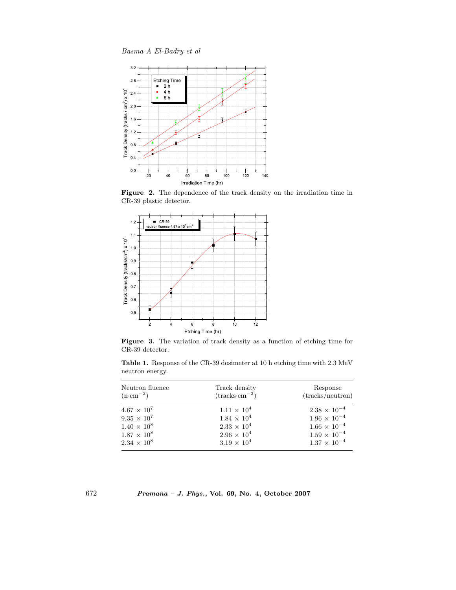*Basma A El-Badry et al*



**Figure 2.** The dependence of the track density on the irradiation time in CR-39 plastic detector.



**Figure 3.** The variation of track density as a function of etching time for CR-39 detector.

**Table 1.** Response of the CR-39 dosimeter at 10 h etching time with 2.3 MeV neutron energy.

| Neutron fluence<br>$(n \cdot cm^{-2})$ | Track density<br>$(\text{tracks}\cdot\text{cm}^{-2})$ | Response<br>(tracks/neutron) |
|----------------------------------------|-------------------------------------------------------|------------------------------|
| $4.67 \times 10^{7}$                   | $1.11 \times 10^4$                                    | $2.38 \times 10^{-4}$        |
| $9.35 \times 10^7$                     | $1.84 \times 10^{4}$                                  | $1.96 \times 10^{-4}$        |
| $1.40 \times 10^8$                     | $2.33 \times 10^{4}$                                  | $1.66 \times 10^{-4}$        |
| $1.87 \times 10^8$                     | $2.96 \times 10^{4}$                                  | $1.59 \times 10^{-4}$        |
| $2.34 \times 10^8$                     | $3.19 \times 10^{4}$                                  | $1.37 \times 10^{-4}$        |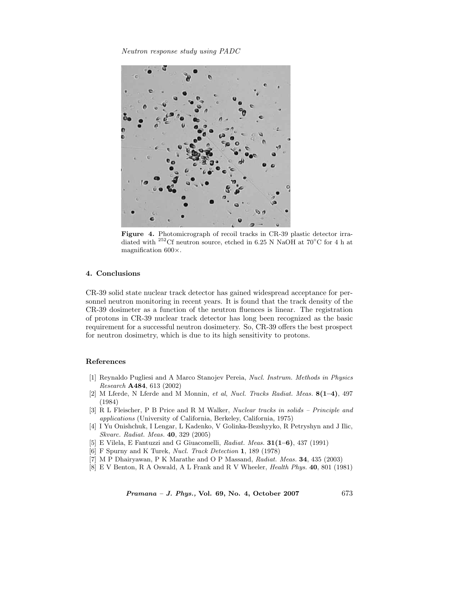*Neutron response study using PADC*



**Figure 4.** Photomicrograph of recoil tracks in CR-39 plastic detector irradiated with <sup>252</sup>Cf neutron source, etched in 6.25 N NaOH at 70 $^{\circ}$ C for 4 h at magnification  $600\times$ .

### **4. Conclusions**

CR-39 solid state nuclear track detector has gained widespread acceptance for personnel neutron monitoring in recent years. It is found that the track density of the CR-39 dosimeter as a function of the neutron fluences is linear. The registration of protons in CR-39 nuclear track detector has long been recognized as the basic requirement for a successful neutron dosimetery. So, CR-39 offers the best prospect for neutron dosimetry, which is due to its high sensitivity to protons.

#### **References**

- [1] Reynaldo Pugliesi and A Marco Stanojev Pereia, *Nucl. Instrum. Methods in Physics Research* **A484**, 613 (2002)
- [2] M Lferde, N Lferde and M Monnin, *et al*, *Nucl. Tracks Radiat. Meas.* **8(1–4)**, 497 (1984)
- [3] R L Fleischer, P B Price and R M Walker, *Nuclear tracks in solids Principle and applications* (University of California, Berkeley, California, 1975)
- [4] I Yu Onishchuk, I Lengar, L Kadenko, V Golinka-Bezshyyko, R Petryshyn and J Ilic, *Skvarc. Radiat. Meas.* **40**, 329 (2005)
- [5] E Vilela, E Fantuzzi and G Giuacomelli, *Radiat. Meas.* **31(1–6)**, 437 (1991)
- [6] F Spurny and K Turek, *Nucl. Track Detection* **1**, 189 (1978)
- [7] M P Dhairyawan, P K Marathe and O P Massand, *Radiat. Meas.* **34**, 435 (2003)
- [8] E V Benton, R A Oswald, A L Frank and R V Wheeler, *Health Phys.* **40**, 801 (1981)

*Pramana – J. Phys.,* **Vol. 69, No. 4, October 2007** 673